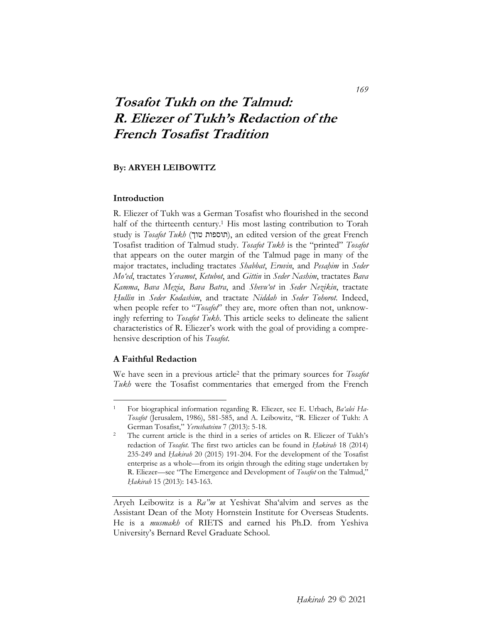# **Tosafot Tukh on the Talmud: R. Eliezer of Tukh's Redaction of the French Tosafist Tradition**

## **By: ARYEH LEIBOWITZ**

## **Introduction**

R. Eliezer of Tukh was a German Tosafist who flourished in the second half of the thirteenth century.1 His most lasting contribution to Torah study is *Tosafot Tukh* (תוספות טוך), an edited version of the great French Tosafist tradition of Talmud study. *Tosafot Tukh* is the "printed" *Tosafot* that appears on the outer margin of the Talmud page in many of the major tractates, including tractates *Shabbat*, *Eruvin*, and *Pesaḥim* in *Seder Mo'ed*, tractates *Yevamot*, *Ketubot*, and *Gittin* in *Seder Nashim*, tractates *Bava Kamma*, *Bava Meẓia*, *Bava Batra*, and *Shevu'ot* in *Seder Nezikin*, tractate *Ḥullin* in *Seder Kodashim*, and tractate *Niddah* in *Seder Tohorot*. Indeed, when people refer to "*Tosafot*" they are, more often than not, unknowingly referring to *Tosafot Tukh*. This article seeks to delineate the salient characteristics of R. Eliezer's work with the goal of providing a comprehensive description of his *Tosafot*.

## **A Faithful Redaction**

-

We have seen in a previous article2 that the primary sources for *Tosafot Tukh* were the Tosafist commentaries that emerged from the French

<sup>1</sup> For biographical information regarding R. Eliezer, see E. Urbach, *Ba'alei Ha-Tosafot* (Jerusalem, 1986), 581-585, and A. Leibowitz, "R. Eliezer of Tukh: A German Tosafist," *Yerushateinu* 7 (2013): 5-18.<br>The current article is the third in a series of articles on R. Eliezer of Tukh's

redaction of *Tosafot*. The first two articles can be found in *Ḥakirah* 18 (2014) 235-249 and *Ḥakirah* 20 (2015) 191-204. For the development of the Tosafist enterprise as a whole—from its origin through the editing stage undertaken by R. Eliezer—see "The Emergence and Development of *Tosafot* on the Talmud," *Ḥakirah* 15 (2013): 143-163.

Aryeh Leibowitz is a *Ra"m* at Yeshivat Sha'alvim and serves as the Assistant Dean of the Moty Hornstein Institute for Overseas Students. He is a *musmakh* of RIETS and earned his Ph.D. from Yeshiva University's Bernard Revel Graduate School.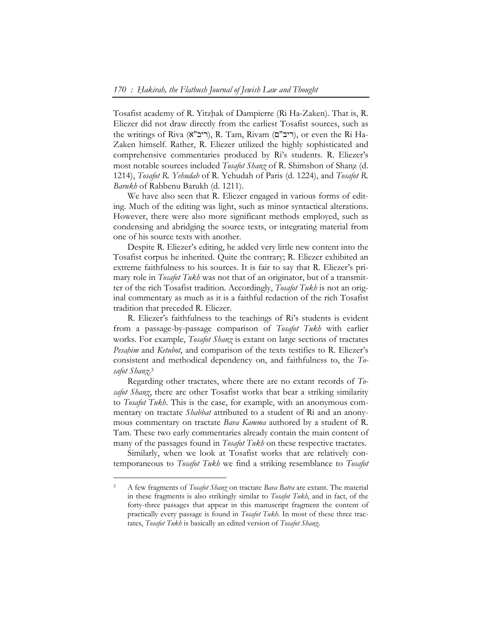Tosafist academy of R. Yitzḥak of Dampierre (Ri Ha-Zaken). That is, R. Eliezer did not draw directly from the earliest Tosafist sources, such as the writings of Riva (ריב"ם), R. Tam, Rivam (ריב), or even the Ri Ha-Zaken himself. Rather, R. Eliezer utilized the highly sophisticated and comprehensive commentaries produced by Ri's students. R. Eliezer's most notable sources included *Tosafot Shanẓ* of R. Shimshon of Shanẓ (d. 1214), *Tosafot R. Yehudah* of R. Yehudah of Paris (d. 1224), and *Tosafot R. Barukh* of Rabbenu Barukh (d. 1211).

We have also seen that R. Eliezer engaged in various forms of editing. Much of the editing was light, such as minor syntactical alterations. However, there were also more significant methods employed, such as condensing and abridging the source texts, or integrating material from one of his source texts with another.

Despite R. Eliezer's editing, he added very little new content into the Tosafist corpus he inherited. Quite the contrary; R. Eliezer exhibited an extreme faithfulness to his sources. It is fair to say that R. Eliezer's primary role in *Tosafot Tukh* was not that of an originator, but of a transmitter of the rich Tosafist tradition. Accordingly, *Tosafot Tukh* is not an original commentary as much as it is a faithful redaction of the rich Tosafist tradition that preceded R. Eliezer.

R. Eliezer's faithfulness to the teachings of Ri's students is evident from a passage-by-passage comparison of *Tosafot Tukh* with earlier works. For example, *Tosafot Shanẓ* is extant on large sections of tractates *Pesaḥim* and *Ketubot*, and comparison of the texts testifies to R. Eliezer's consistent and methodical dependency on, and faithfulness to, the *Tosafot Shanẓ*. 3

Regarding other tractates, where there are no extant records of *Tosafot Shanẓ*, there are other Tosafist works that bear a striking similarity to *Tosafot Tukh*. This is the case, for example, with an anonymous commentary on tractate *Shabbat* attributed to a student of Ri and an anonymous commentary on tractate *Bava Kamma* authored by a student of R. Tam. These two early commentaries already contain the main content of many of the passages found in *Tosafot Tukh* on these respective tractates.

Similarly, when we look at Tosafist works that are relatively contemporaneous to *Tosafot Tukh* we find a striking resemblance to *Tosafot* 

<sup>3</sup> A few fragments of *Tosafot Shanẓ* on tractate *Bava Batra* are extant. The material in these fragments is also strikingly similar to *Tosafot Tukh*, and in fact, of the forty-three passages that appear in this manuscript fragment the content of practically every passage is found in *Tosafot Tukh*. In most of these three tractates, *Tosafot Tukh* is basically an edited version of *Tosafot Shanẓ*.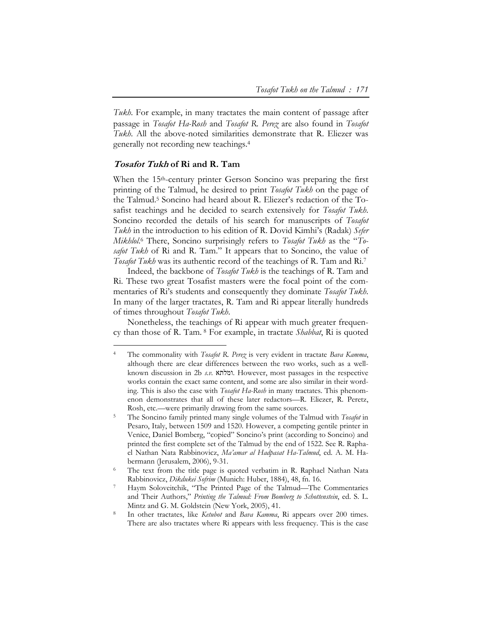*Tukh*. For example, in many tractates the main content of passage after passage in *Tosafot Ha-Rosh* and *Tosafot R. Pereẓ* are also found in *Tosafot Tukh*. All the above-noted similarities demonstrate that R. Eliezer was generally not recording new teachings.4

## **Tosafot Tukh of Ri and R. Tam**

 $\overline{a}$ 

When the 15<sup>th</sup>-century printer Gerson Soncino was preparing the first printing of the Talmud, he desired to print *Tosafot Tukh* on the page of the Talmud.5 Soncino had heard about R. Eliezer's redaction of the Tosafist teachings and he decided to search extensively for *Tosafot Tukh*. Soncino recorded the details of his search for manuscripts of *Tosafot Tukh* in the introduction to his edition of R. Dovid Kimhi's (Radak) *Sefer Mikhlol*. 6 There, Soncino surprisingly refers to *Tosafot Tukh* as the "*Tosafot Tukh* of Ri and R. Tam." It appears that to Soncino, the value of *Tosafot Tukh* was its authentic record of the teachings of R. Tam and Ri.7

Indeed, the backbone of *Tosafot Tukh* is the teachings of R. Tam and Ri. These two great Tosafist masters were the focal point of the commentaries of Ri's students and consequently they dominate *Tosafot Tukh*. In many of the larger tractates, R. Tam and Ri appear literally hundreds of times throughout *Tosafot Tukh*.

Nonetheless, the teachings of Ri appear with much greater frequency than those of R. Tam. 8 For example, in tractate *Shabbat*, Ri is quoted

<sup>4</sup> The commonality with *Tosafot R. Pereẓ* is very evident in tractate *Bava Kamma*, although there are clear differences between the two works, such as a wellknown discussion in 2b *s.v.* ומלתא. However, most passages in the respective works contain the exact same content, and some are also similar in their wording. This is also the case with *Tosafot Ha-Rosh* in many tractates. This phenomenon demonstrates that all of these later redactors—R. Eliezer, R. Peretz, Rosh, etc.—were primarily drawing from the same sources. 5 The Soncino family printed many single volumes of the Talmud with *Tosafot* in

Pesaro, Italy, between 1509 and 1520. However, a competing gentile printer in Venice, Daniel Bomberg, "copied" Soncino's print (according to Soncino) and printed the first complete set of the Talmud by the end of 1522. See R. Raphael Nathan Nata Rabbinovicz, *Ma'amar al Hadpasat Ha-Talmud*, ed. A. M. Habermann (Jerusalem, 2006), 9-31.<br>The text from the title page is quoted verbatim in R. Raphael Nathan Nata

Rabbinovicz, *Dikdukei Sofrim* (Munich: Huber, 1884), 48, fn. 16.

Haym Soloveitchik, "The Printed Page of the Talmud—The Commentaries and Their Authors," *Printing the Talmud: From Bomberg to Schottenstein*, ed. S. L. Mintz and G. M. Goldstein (New York, 2005), 41.<br>In other tractates, like *Ketubot* and *Bava Kamma*, Ri appears over 200 times.

There are also tractates where Ri appears with less frequency. This is the case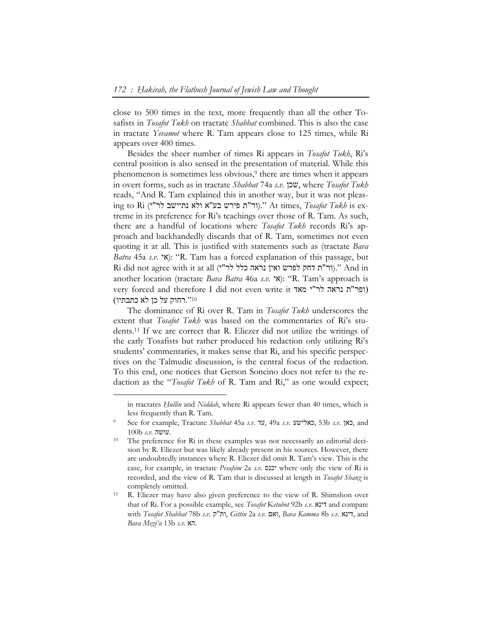close to 500 times in the text, more frequently than all the other Tosafists in *Tosafot Tukh* on tractate *Shabbat* combined. This is also the case in tractate *Yevamot* where R. Tam appears close to 125 times, while Ri appears over 400 times.

Besides the sheer number of times Ri appears in *Tosafot Tukh*, Ri's central position is also sensed in the presentation of material. While this phenomenon is sometimes less obvious,9 there are times when it appears in overt forms, such as in tractate *Shabbat* 74a *s.v.* שכן, where *Tosafot Tukh* reads, "And R. Tam explained this in another way, but it was not pleasing to Ri (י"לר נתיישב ולא א"בע פירש ת"ור(. "At times, *Tosafot Tukh* is extreme in its preference for Ri's teachings over those of R. Tam. As such, there are a handful of locations where *Tosafot Tukh* records Ri's approach and backhandedly discards that of R. Tam, sometimes not even quoting it at all. This is justified with statements such as (tractate *Bava Batra* 45a *s.v.* **'N**): "R. Tam has a forced explanation of this passage, but Ri did not agree with it at all (יר"ת דחק לפרש ואין נראה כלל לר"ו)." And in another location (tractate *Bava Batra* 46a *s.v.* "אֹ): "R. Tam's approach is very forced and therefore I did not even write it ופר"ת נראה לר"י מאד) 10".רחוק על כן לא כתבתיו)

The dominance of Ri over R. Tam in *Tosafot Tukh* underscores the extent that *Tosafot Tukh* was based on the commentaries of Ri's students.11 If we are correct that R. Eliezer did not utilize the writings of the early Tosafists but rather produced his redaction only utilizing Ri's students' commentaries, it makes sense that Ri, and his specific perspectives on the Talmudic discussion, is the central focus of the redaction. To this end, one notices that Gerson Soncino does not refer to the redaction as the "*Tosafot Tukh* of R. Tam and Ri," as one would expect;

in tractates *Ḥullin* and *Niddah*, where Ri appears fewer than 40 times, which is less frequently than R. Tam. 9 See for example, Tractate *Shabbat* 45a *s.v.* עד, 49a *s.v.* כאלישע, 53b *s.v.* כאן, and

<sup>100</sup>b *s.v.* עושה. 10 The preference for Ri in these examples was not necessarily an editorial decision by R. Eliezer but was likely already present in his sources. However, there are undoubtedly instances where R. Eliezer did omit R. Tam's view. This is the case, for example, in tractate *Pesaḥim* 2a *s.v.* יכנס where only the view of Ri is recorded, and the view of R. Tam that is discussed at length in *Tosafot Shanẓ* is completely omitted.<br><sup>11</sup> R. Eliezer may have also given preference to the view of R. Shimshon over

that of Ri. For a possible example, see *Tosafot* K*etubot* 92b *s.v.* דינא and compare with *Tosafot Shabbat* 78b *s.v.* ק"ות, *Gittin* 2a *s.v.* ואם, *Bava Kamma* 8b *s.v.* דינא, and *Bava Meẓi'a* 13b *s.v.* הא.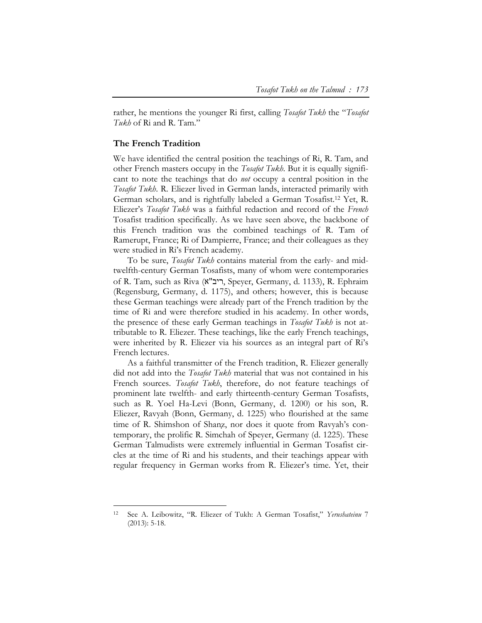rather, he mentions the younger Ri first, calling *Tosafot Tukh* the "*Tosafot Tukh* of Ri and R. Tam."

## **The French Tradition**

-

We have identified the central position the teachings of Ri, R. Tam, and other French masters occupy in the *Tosafot Tukh*. But it is equally significant to note the teachings that do *not* occupy a central position in the *Tosafot Tukh*. R. Eliezer lived in German lands, interacted primarily with German scholars, and is rightfully labeled a German Tosafist.12 Yet, R. Eliezer's *Tosafot Tukh* was a faithful redaction and record of the *French* Tosafist tradition specifically. As we have seen above, the backbone of this French tradition was the combined teachings of R. Tam of Ramerupt, France; Ri of Dampierre, France; and their colleagues as they were studied in Ri's French academy.

To be sure, *Tosafot Tukh* contains material from the early- and midtwelfth-century German Tosafists, many of whom were contemporaries of R. Tam, such as Riva (א"ריב, Speyer, Germany, d. 1133), R. Ephraim (Regensburg, Germany, d. 1175), and others; however, this is because these German teachings were already part of the French tradition by the time of Ri and were therefore studied in his academy. In other words, the presence of these early German teachings in *Tosafot Tukh* is not attributable to R. Eliezer. These teachings, like the early French teachings, were inherited by R. Eliezer via his sources as an integral part of Ri's French lectures.

As a faithful transmitter of the French tradition, R. Eliezer generally did not add into the *Tosafot Tukh* material that was not contained in his French sources. *Tosafot Tukh*, therefore, do not feature teachings of prominent late twelfth- and early thirteenth-century German Tosafists, such as R. Yoel Ha-Levi (Bonn, Germany, d. 1200) or his son, R. Eliezer, Ravyah (Bonn, Germany, d. 1225) who flourished at the same time of R. Shimshon of Shanz, nor does it quote from Ravyah's contemporary, the prolific R. Simchah of Speyer, Germany (d. 1225). These German Talmudists were extremely influential in German Tosafist circles at the time of Ri and his students, and their teachings appear with regular frequency in German works from R. Eliezer's time. Yet, their

<sup>12</sup> See A. Leibowitz, "R. Eliezer of Tukh: A German Tosafist," *Yerushateinu* 7 (2013): 5-18.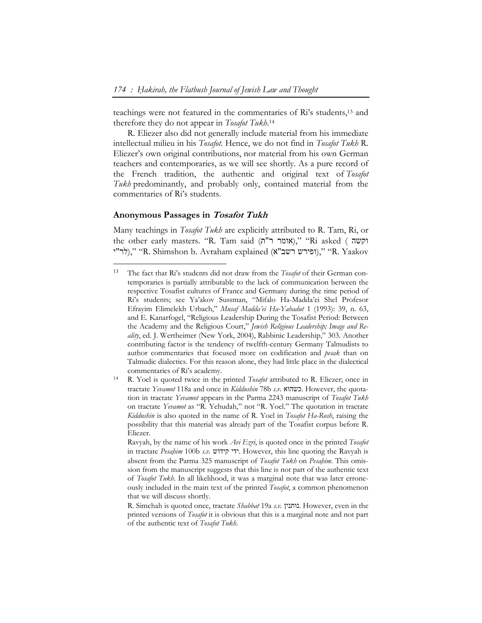teachings were not featured in the commentaries of Ri's students,13 and therefore they do not appear in *Tosafot Tukh*. 14

R. Eliezer also did not generally include material from his immediate intellectual milieu in his *Tosafot*. Hence, we do not find in *Tosafot Tukh* R. Eliezer's own original contributions, nor material from his own German teachers and contemporaries, as we will see shortly. As a pure record of the French tradition, the authentic and original text of *Tosafot Tukh* predominantly, and probably only, contained material from the commentaries of Ri's students.

#### **Anonymous Passages in Tosafot Tukh**

 $\ddot{\phantom{a}}$ 

Many teachings in *Tosafot Tukh* are explicitly attributed to R. Tam, Ri, or the other early masters. "R. Tam said (אומר ר"ת)," "Ri asked ( וקשה י"לר"י)," "R. Shimshon b. Avraham explained (לר"י)," (לר"י)," (אלר"י)," ("R. Yaakov

Ravyah, by the name of his work *Avi Ezri*, is quoted once in the printed *Tosafot* in tractate *Pesaḥim* 100b *s.v.* קידוש ידי. However, this line quoting the Ravyah is absent from the Parma 325 manuscript of *Tosafot Tukh* on *Pesaḥim*. This omission from the manuscript suggests that this line is not part of the authentic text of *Tosafot Tukh*. In all likelihood, it was a marginal note that was later erroneously included in the main text of the printed *Tosafot*, a common phenomenon that we will discuss shortly.

R. Simchah is quoted once, tractate *Shabbat* 19a *s.v.* נותנין. However, even in the printed versions of *Tosafot* it is obvious that this is a marginal note and not part of the authentic text of *Tosafot Tukh*.

<sup>13</sup> The fact that Ri's students did not draw from the *Tosafot* of their German contemporaries is partially attributable to the lack of communication between the respective Tosafist cultures of France and Germany during the time period of Ri's students; see Ya'akov Sussman, "Mifalo Ha-Madda'ei Shel Profesor Efrayim Elimelekh Urbach," *Musaf Madda'ei Ha-Yahadut* 1 (1993): 39, n. 63, and E. Kanarfogel, "Religious Leadership During the Tosafist Period: Between the Academy and the Religious Court," *Jewish Religious Leadership; Image and Reality*, ed. J. Wertheimer (New York, 2004), Rabbinic Leadership," 303. Another contributing factor is the tendency of twelfth-century Germany Talmudists to author commentaries that focused more on codification and *pesak* than on Talmudic dialectics. For this reason alone, they had little place in the dialectical commentaries of Ri's academy. 14 R. Yoel is quoted twice in the printed *Tosafot* attributed to R. Eliezer; once in

tractate *Yevamot* 118a and once in *Kiddushin* 78b *s.v.* כשהוא. However, the quotation in tractate *Yevamot* appears in the Parma 2243 manuscript of *Tosafot Tukh* on tractate *Yevamot* as "R. Yehudah," not "R. Yoel." The quotation in tractate *Kiddushin* is also quoted in the name of R. Yoel in *Tosafot Ha-Rosh*, raising the possibility that this material was already part of the Tosafist corpus before R. Eliezer.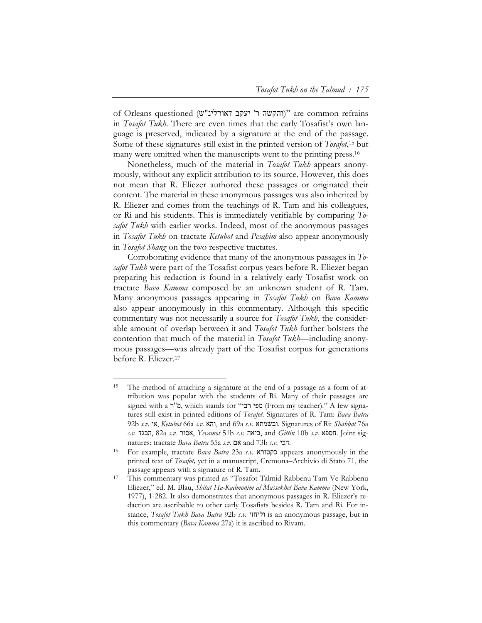of Orleans questioned ("והקשה ר' יעקב דאורלינ"ש)" are common refrains in *Tosafot Tukh*. There are even times that the early Tosafist's own language is preserved, indicated by a signature at the end of the passage. Some of these signatures still exist in the printed version of *Tosafot*, 15 but many were omitted when the manuscripts went to the printing press.<sup>16</sup>

Nonetheless, much of the material in *Tosafot Tukh* appears anonymously, without any explicit attribution to its source. However, this does not mean that R. Eliezer authored these passages or originated their content. The material in these anonymous passages was also inherited by R. Eliezer and comes from the teachings of R. Tam and his colleagues, or Ri and his students. This is immediately verifiable by comparing *Tosafot Tukh* with earlier works. Indeed, most of the anonymous passages in *Tosafot Tukh* on tractate *Ketubot* and *Pesaḥim* also appear anonymously in *Tosafot Shanẓ* on the two respective tractates.

Corroborating evidence that many of the anonymous passages in *Tosafot Tukh* were part of the Tosafist corpus years before R. Eliezer began preparing his redaction is found in a relatively early Tosafist work on tractate *Bava Kamma* composed by an unknown student of R. Tam. Many anonymous passages appearing in *Tosafot Tukh* on *Bava Kamma* also appear anonymously in this commentary. Although this specific commentary was not necessarily a source for *Tosafot Tukh*, the considerable amount of overlap between it and *Tosafot Tukh* further bolsters the contention that much of the material in *Tosafot Tukh—*including anonymous passages—was already part of the Tosafist corpus for generations before R. Eliezer.17

The method of attaching a signature at the end of a passage as a form of attribution was popular with the students of Ri. Many of their passages are signed with a מפי רבי" chich stands for "מפי רבי") (From my teacher)." A few signatures still exist in printed editions of *Tosafot*. Signatures of R. Tam: *Bava Batra* 92b *s.v.* אי, *Ketubot* 66a *s.v.* והא, and 69a *s.v.* ובשמתא. Signatures of Ri: *Shabbat* 76a *s.v.* הבגד, 82a *s.v.* אסור, *Yevamot* 51b *s.v.* ביאה, and *Gittin* 10b *s.v.* חספא. Joint signatures: tractate *Bava Batra* 55a *s.v.* אם and 73b *s.v.* הכי. 16 For example, tractate *Bava Batra* 23a *s.v.* כקטורא appears anonymously in the

printed text of *Tosafot,* yet in a manuscript, Cremona–Archivio di Stato 71, the passage appears with a signature of R. Tam.<br>This commentary was printed as "Tosafot Talmid Rabbenu Tam Ve-Rabbenu

Eliezer," ed. M. Blau, *Shitat Ha-Kadmonim al Massekhet Bava Kamma* (New York, 1977), 1-282. It also demonstrates that anonymous passages in R. Eliezer's redaction are ascribable to other early Tosafists besides R. Tam and Ri. For instance, *Tosafot Tukh Bava Batra* 92b *s.v.* וליחזי is an anonymous passage, but in this commentary (*Bava Kamma* 27a) it is ascribed to Rivam.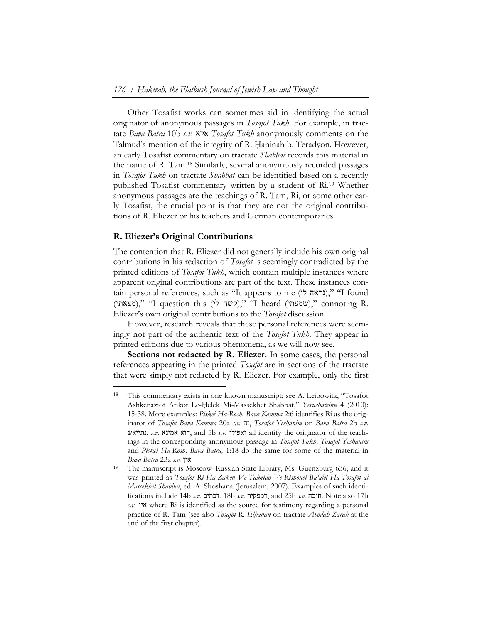Other Tosafist works can sometimes aid in identifying the actual originator of anonymous passages in *Tosafot Tukh*. For example, in tractate *Bava Batra* 10b *s.v.* אלא *Tosafot Tukh* anonymously comments on the Talmud's mention of the integrity of R. Haninah b. Teradyon. However, an early Tosafist commentary on tractate *Shabbat* records this material in the name of R. Tam.18 Similarly, several anonymously recorded passages in *Tosafot Tukh* on tractate *Shabbat* can be identified based on a recently published Tosafist commentary written by a student of Ri.19 Whether anonymous passages are the teachings of R. Tam, Ri, or some other early Tosafist, the crucial point is that they are not the original contributions of R. Eliezer or his teachers and German contemporaries.

#### **R. Eliezer's Original Contributions**

-

The contention that R. Eliezer did not generally include his own original contributions in his redaction of *Tosafot* is seemingly contradicted by the printed editions of *Tosafot Tukh*, which contain multiple instances where apparent original contributions are part of the text. These instances contain personal references, such as "It appears to me (נראה לי)," "I found (מצאתי)," "I question this (לְחָשׁה לי "I heard (שמעתי)," connoting R. Eliezer's own original contributions to the *Tosafot* discussion.

However, research reveals that these personal references were seemingly not part of the authentic text of the *Tosafot Tukh*. They appear in printed editions due to various phenomena, as we will now see.

**Sections not redacted by R. Eliezer.** In some cases, the personal references appearing in the printed *Tosafot* are in sections of the tractate that were simply not redacted by R. Eliezer. For example, only the first

This commentary exists in one known manuscript; see A. Leibowitz, "Tosafot Ashkenaziot Atikot Le-Ḥelek Mi-Massekhet Shabbat," *Yerushateinu* 4 (2010): 15-38. More examples: *Piskei Ha-Rosh, Bava Kamma* 2:6 identifies Ri as the originator of *Tosafot Bava Kamma* 20a *s.v.* זה, *Tosafot Yeshanim* on *Bava Batra* 2b *s.v.* נתייאש, *s.v.* אמינא הוא, and 5b *s.v.* ואפילו all identify the originator of the teachings in the corresponding anonymous passage in *Tosafot Tukh*. *Tosafot Yeshanim* and *Piskei Ha-Rosh, Bava Batra,* 1:18 do the same for some of the material in *Bava Batra* 23a *s.v.* **19** *N.*<br><sup>19</sup> The manuscript is Moscow–Russian State Library, Ms. Guenzburg 636, and it

was printed as *Tosafot Ri Ha-Zaken Ve-Talmido Ve-Rishonei Ba'alei Ha-Tosafot al Massekhet Shabbat*, ed. A. Shoshana (Jerusalem, 2007). Examples of such identifications include 14b *s.v.* דכתיב, 18b *s.v.* דמפקיר, and 25b *s.v.* חובה. Note also 17b *s.v.* אין where Ri is identified as the source for testimony regarding a personal practice of R. Tam (see also *Tosafot R. Elḥanan* on tractate *Avodah Zarah* at the end of the first chapter).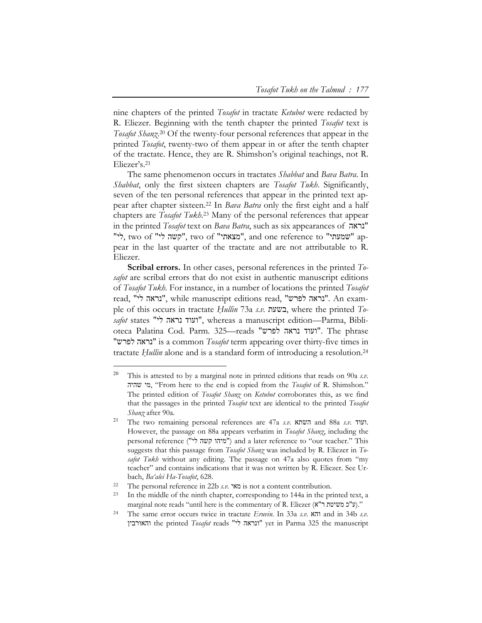nine chapters of the printed *Tosafot* in tractate *Ketubot* were redacted by R. Eliezer. Beginning with the tenth chapter the printed *Tosafot* text is *Tosafot Shanẓ*. 20 Of the twenty-four personal references that appear in the printed *Tosafot*, twenty-two of them appear in or after the tenth chapter of the tractate. Hence, they are R. Shimshon's original teachings, not R. Eliezer's.21

The same phenomenon occurs in tractates *Shabbat* and *Bava Batra*. In *Shabbat*, only the first sixteen chapters are *Tosafot Tukh*. Significantly, seven of the ten personal references that appear in the printed text appear after chapter sixteen.22 In *Bava Batra* only the first eight and a half chapters are *Tosafot Tukh*. 23 Many of the personal references that appear in the printed *Tosafot* text on *Bava Batra*, such as six appearances of נראה" לי", two of "קשה לי", two of "מצאתי", and one reference to "שמעתי" pear in the last quarter of the tractate and are not attributable to R. Eliezer.

**Scribal errors.** In other cases, personal references in the printed *Tosafot* are scribal errors that do not exist in authentic manuscript editions of *Tosafot Tukh*. For instance, in a number of locations the printed *Tosafot* read, "לי נראה", while manuscript editions read, "לפרש נראה". An example of this occurs in tractate *Ḥullin* 73a *s.v.* בשעת, where the printed *Tosafot* states "לי נראה ועוד", whereas a manuscript edition—Parma, Biblioteca Palatina Cod. Parm. 325—reads "לפרש נראה ועוד". The phrase "לפרש נראה "is a common *Tosafot* term appearing over thirty-five times in tractate *Ḥullin* alone and is a standard form of introducing a resolution.24

<sup>20</sup> This is attested to by a marginal note in printed editions that reads on 90a *s.v.* שהיה מי," From here to the end is copied from the *Tosafot* of R. Shimshon." The printed edition of *Tosafot Shanẓ* on *Ketubot* corroborates this, as we find that the passages in the printed *Tosafot* text are identical to the printed *Tosafot Shanẓ* after 90a.

<sup>21</sup> The two remaining personal references are 47a *s.v.* השתא and 88a *s.v.* ועוד. However, the passage on 88a appears verbatim in *Tosafot Shanẓ*, including the personal reference ("מיהו קשה לי") and a later reference to "our teacher." This suggests that this passage from *Tosafot Shanẓ* was included by R. Eliezer in *Tosafot Tukh* without any editing. The passage on 47a also quotes from "my teacher" and contains indications that it was not written by R. Eliezer. See Urbach, *Ba'alei Ha-Tosafot*, 628. 22 The personal reference in 22b *s.v.* מאי is not a content contribution. 23 In the middle of the ninth chapter, corresponding to 144a in the printed text, a

marginal note reads "until here is the commentary of R. Eliezer (א"ר משיטת כ"א)."<br>The same error occurs twice in tractate *Eruvin*. In 33a *s.v.* והא and in 34b *s.v.* והאורבין the printed *Tosafot* reads "לי ונראה "yet in Parma 325 the manuscript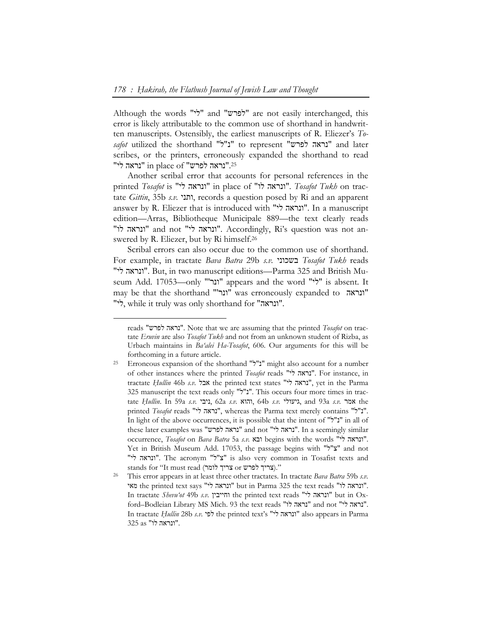Although the words "לפרש" and "לפרש" are not easily interchanged, this error is likely attributable to the common use of shorthand in handwritten manuscripts. Ostensibly, the earliest manuscripts of R. Eliezer's *Tosafot* utilized the shorthand "נ"ל" to represent "נראה לפרש" and later scribes, or the printers, erroneously expanded the shorthand to read "נראה לפרש" in place of "נראה לי".<sup>25</sup>

Another scribal error that accounts for personal references in the printed *Tosafot* is "לי ונראה "in place of "לו ונראה". *Tosafot Tukh* on tractate *Gittin*, 35b *s.v.* ותני, records a question posed by Ri and an apparent answer by R. Eliezer that is introduced with "יונראה לי". In a manuscript edition—Arras, Bibliotheque Municipale 889—the text clearly reads "לו ונראה "and not "לי ונראה". Accordingly, Ri's question was not answered by R. Eliezer, but by Ri himself.26

Scribal errors can also occur due to the common use of shorthand. For example, in tractate *Bava Batra* 29b *s.v.* בשכוני *Tosafot Tukh* reads "לי ונראה". But, in two manuscript editions—Parma 325 and British Museum Add. 17053—only "'ונר" appears and the word "לי" is absent. It may be that the shorthand "'ונר"' was erroneously expanded to "ונראה" "לי, while it truly was only shorthand for "ונראה".

reads "לפרש נראה". Note that we are assuming that the printed *Tosafot* on tractate *Eruvin* are also *Tosafot Tukh* and not from an unknown student of Rizba, as Urbach maintains in *Ba'alei Ha-Tosafot*, 606. Our arguments for this will be forthcoming in a future article. 25 Erroneous expansion of the shorthand "ל"נ "might also account for a number

of other instances where the printed *Tosafot* reads "לי נראה". For instance, in tractate *Ḥullin* 46b *s.v.* אבל the printed text states "לי נראה", yet in the Parma 325 manuscript the text reads only "ל"נ". This occurs four more times in tractate *Ḥullin*. In 59a *s.v.* ניבי, 62a *s.v.* והוא, 64b *s.v.* גיעולי, and 93a *s.v.* אמר the printed *Tosafot* reads "לי נראה", whereas the Parma text merely contains "ל"נ". In light of the above occurrences, it is possible that the intent of "ל"נ "in all of these later examples was "נראה לפרש" and not "נראה "נראה". In a seemingly similar occurrence, *Tosafot* on *Bava Batra* 5a *s.v.* ובא begins with the words "לי ונראה". Yet in British Museum Add. 17053, the passage begins with "ל"צ "and not "לי ונראה". The acronym "ל"צ "is also very common in Tosafist texts and

stands for "It must read (אביך לפרש or לפרש)."<br>26 This error appears in at least three other tractates. In tractate *Bava Batra* 59b *s.v.* מאי the printed text says "ונראה לי" but in Parma 325 the text reads "ונראה לו". In tractate *Shevu'ot* 49b *s.v.* וחייבין the printed text reads "לי ונראה "but in Oxford–Bodleian Library MS Mich. 93 the text reads "לו נראה "and not "לי נראה". In tractate *Ḥullin* 28b *s.v.* לפי the printed text's "לי ונראה "also appears in Parma ."ונראה לו" as 325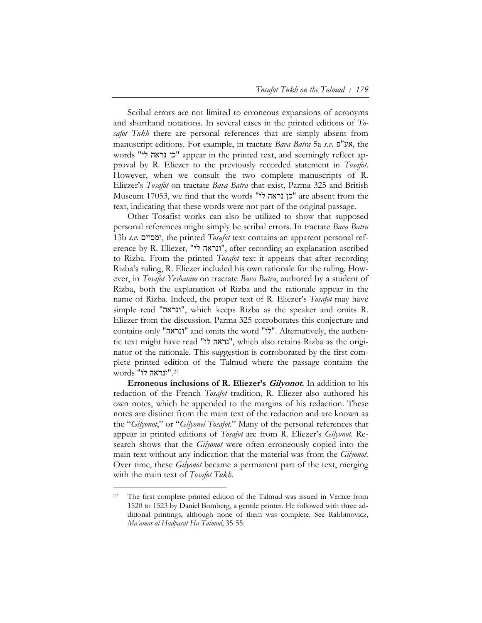Scribal errors are not limited to erroneous expansions of acronyms and shorthand notations. In several cases in the printed editions of *Tosafot Tukh* there are personal references that are simply absent from manuscript editions. For example, in tractate *Bava Batra* 5a *s.v.* פ"אע, the words "לי נראה כן "appear in the printed text, and seemingly reflect approval by R. Eliezer to the previously recorded statement in *Tosafot*. However, when we consult the two complete manuscripts of R. Eliezer's *Tosafot* on tractate *Bava Batra* that exist, Parma 325 and British Museum 17053, we find that the words "לי נראה כן "are absent from the text, indicating that these words were not part of the original passage.

Other Tosafist works can also be utilized to show that supposed personal references might simply be scribal errors. In tractate *Bava Batra* 13b *s.v.* ומסיים, the printed *Tosafot* text contains an apparent personal reference by R. Eliezer, "יונראה לי", after recording an explanation ascribed to Rizba. From the printed *Tosafot* text it appears that after recording Rizba's ruling, R. Eliezer included his own rationale for the ruling. However, in *Tosafot Yeshanim* on tractate *Bava Batra*, authored by a student of Rizba, both the explanation of Rizba and the rationale appear in the name of Rizba. Indeed, the proper text of R. Eliezer's *Tosafot* may have simple read "ונראה", which keeps Rizba as the speaker and omits R. Eliezer from the discussion. Parma 325 corroborates this conjecture and contains only "ונראה "and omits the word "לי". Alternatively, the authentic text might have read "נראה לו", which also retains Rizba as the originator of the rationale. This suggestion is corroborated by the first complete printed edition of the Talmud where the passage contains the ."ונראה לו" words 27

**Erroneous inclusions of R. Eliezer's Gilyonot.** In addition to his redaction of the French *Tosafot* tradition, R. Eliezer also authored his own notes, which he appended to the margins of his redaction. These notes are distinct from the main text of the redaction and are known as the "*Gilyonot*," or "*Gilyonei Tosafot*." Many of the personal references that appear in printed editions of *Tosafot* are from R. Eliezer's *Gilyonot*. Research shows that the *Gilyonot* were often erroneously copied into the main text without any indication that the material was from the *Gilyonot*. Over time, these *Gilyonot* became a permanent part of the text, merging with the main text of *Tosafot Tukh*.

The first complete printed edition of the Talmud was issued in Venice from 1520 to 1523 by Daniel Bomberg, a gentile printer. He followed with three additional printings, although none of them was complete. See Rabbinovicz, *Ma'amar al Hadpasat Ha-Talmud*, 35-55.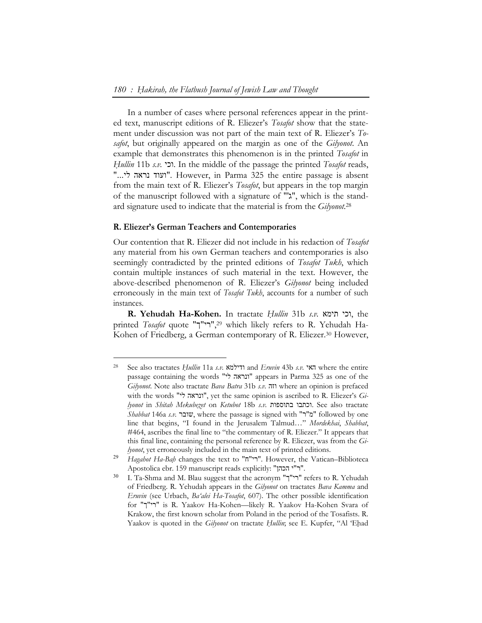In a number of cases where personal references appear in the printed text, manuscript editions of R. Eliezer's *Tosafot* show that the statement under discussion was not part of the main text of R. Eliezer's *Tosafot*, but originally appeared on the margin as one of the *Gilyonot*. An example that demonstrates this phenomenon is in the printed *Tosafot* in *Ḥullin* 11b *s.v.* וכי. In the middle of the passage the printed *Tosafot* reads, "...לי נראה ועוד". However, in Parma 325 the entire passage is absent from the main text of R. Eliezer's *Tosafot*, but appears in the top margin of the manuscript followed with a signature of "'ג", which is the standard signature used to indicate that the material is from the *Gilyonot*.28

#### **R. Eliezer's German Teachers and Contemporaries**

-

Our contention that R. Eliezer did not include in his redaction of *Tosafot*  any material from his own German teachers and contemporaries is also seemingly contradicted by the printed editions of *Tosafot Tukh*, which contain multiple instances of such material in the text. However, the above-described phenomenon of R. Eliezer's *Gilyonot* being included erroneously in the main text of *Tosafot Tukh*, accounts for a number of such instances.

**R. Yehudah Ha-Kohen.** In tractate *Ḥullin* 31b *s.v.* תימא וכי, the printed *Tosafot* quote "ך"רי",29 which likely refers to R. Yehudah Ha-Kohen of Friedberg, a German contemporary of R. Eliezer.<sup>30</sup> However,

<sup>28</sup> See also tractates *Ḥullin* 11a *s.v.* ודילמא and *Eruvin* 43b *s.v.* האי where the entire passage containing the words "לי ונראה "appears in Parma 325 as one of the *Gilyonot*. Note also tractate *Bava Batra* 31b *s.v.* וזה where an opinion is prefaced with the words "יונראה לי", yet the same opinion is ascribed to R. Eliezer's Gi*lyonot* in *Shitah Mekubeẓet* on *Ketubot* 18b *s.v.* בתוספות וכתבו. See also tractate *Shabbat* 146a *s.v.* שובר, where the passage is signed with "ר"מ "followed by one line that begins, "I found in the Jerusalem Talmud…" *Mordekhai*, *Shabbat*, #464, ascribes the final line to "the commentary of R. Eliezer." It appears that this final line, containing the personal reference by R. Eliezer, was from the *Gilyonot*, yet erroneously included in the main text of printed editions.

<sup>29</sup> *Hagahot Ha-Baḥ* changes the text to "ח"רי". However, the Vatican–Biblioteca Apostolica ebr. 159 manuscript reads explicitly: "הכהן י"ר".

<sup>&</sup>lt;sup>30</sup> I. Ta-Shma and M. Blau suggest that the acronym "רי"ך" refers to R. Yehudah of Friedberg. R. Yehudah appears in the *Gilyonot* on tractates *Bava Kamma* and *Eruvin* (see Urbach, *Ba'alei Ha-Tosafot*, 607). The other possible identification for "ך"רי "is R. Yaakov Ha-Kohen—likely R. Yaakov Ha-Kohen Svara of Krakow, the first known scholar from Poland in the period of the Tosafists. R. Yaakov is quoted in the *Gilyonot* on tractate *Hullin*; see E. Kupfer, "Al 'Ehad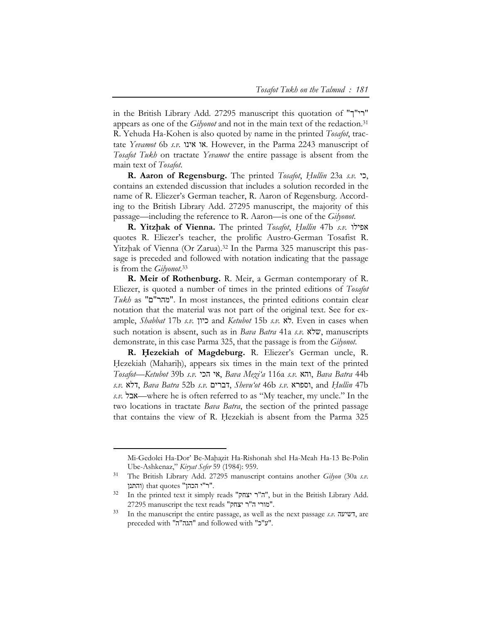in the British Library Add. 27295 manuscript this quotation of "ך"רי" appears as one of the *Gilyonot* and not in the main text of the redaction.31 R. Yehuda Ha-Kohen is also quoted by name in the printed *Tosafot*, tractate *Yevamot* 6b *s.v.* אינו או. However, in the Parma 2243 manuscript of *Tosafot Tukh* on tractate *Yevamot* the entire passage is absent from the main text of *Tosafot*.

**R. Aaron of Regensburg.** The printed *Tosafot*, *Ḥullin* 23a *s.v.* כי, contains an extended discussion that includes a solution recorded in the name of R. Eliezer's German teacher, R. Aaron of Regensburg. According to the British Library Add. 27295 manuscript, the majority of this passage—including the reference to R. Aaron—is one of the *Gilyonot*.

**R. Yitzḥak of Vienna.** The printed *Tosafot*, *Ḥullin* 47b *s.v.* אפילו quotes R. Eliezer's teacher, the prolific Austro-German Tosafist R. Yitzhak of Vienna (Or Zarua).<sup>32</sup> In the Parma 325 manuscript this passage is preceded and followed with notation indicating that the passage is from the *Gilyonot*. 33

**R. Meir of Rothenburg.** R. Meir, a German contemporary of R. Eliezer, is quoted a number of times in the printed editions of *Tosafot Tukh* as "ם"מהר". In most instances, the printed editions contain clear notation that the material was not part of the original text. See for example, *Shabbat* 17b *s.v.* כיון and *Ketubot* 15b *s.v.* לא. Even in cases when such notation is absent, such as in *Bava Batra* 41a *s.v.* שלא, manuscripts demonstrate, in this case Parma 325, that the passage is from the *Gilyonot*.

**R. Ḥezekiah of Magdeburg.** R. Eliezer's German uncle, R. Hezekiah (Maharih), appears six times in the main text of the printed *Tosafot*—*Ketubot* 39b *s.v.* הכי אי, *Bava Meẓi'a* 116a *s.v.* והא, *Bava Batra* 44b *s.v.* דלא, *Bava Batra* 52b *s.v.* דברים, *Shevu'ot* 46b *s.v.* וספרא, and *Ḥullin* 47b *s.v.* אבל—where he is often referred to as "My teacher, my uncle." In the two locations in tractate *Bava Batra*, the section of the printed passage that contains the view of R. Hezekiah is absent from the Parma 325

Mi-Gedolei Ha-Dor' Be-Mahazit Ha-Rishonah shel Ha-Meah Ha-13 Be-Polin Ube-Ashkenaz," *Kiryat Sefer* 59 (1984): 959.

<sup>31</sup> The British Library Add. 27295 manuscript contains another *Gilyon* (30a *s.v.* והתנן (that quotes "הכהן י"ר".

<sup>&</sup>lt;sup>32</sup> In the printed text it simply reads "ה"ר יצחק", but in the British Library Add. 27295 manuscript the text reads "יצחק ר"ה מורי".

<sup>33</sup> In the manuscript the entire passage, as well as the next passage *s.v.* דשיעה, are preceded with "ה"הגה "and followed with "כ"ע".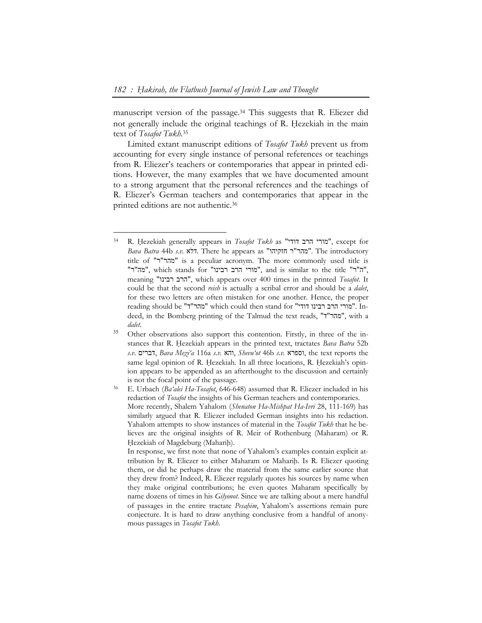-

manuscript version of the passage.34 This suggests that R. Eliezer did not generally include the original teachings of R. Hezekiah in the main text of *Tosafot Tukh*. 35

Limited extant manuscript editions of *Tosafot Tukh* prevent us from accounting for every single instance of personal references or teachings from R. Eliezer's teachers or contemporaries that appear in printed editions. However, the many examples that we have documented amount to a strong argument that the personal references and the teachings of R. Eliezer's German teachers and contemporaries that appear in the printed editions are not authentic.36

<sup>34</sup> R. Ḥezekiah generally appears in *Tosafot Tukh* as "דודי הרב מורי", except for *Bava Batra* 44b *s.v.* דלא. There he appears as "חזקיהו ר"מהר". The introductory title of "ר"מהר "is a peculiar acronym. The more commonly used title is "מה"ר", which stands for "מורי הרב רבינו", and is similar to the title "מה"ר", meaning "רבינו הרב", which appears over 400 times in the printed *Tosafot*. It could be that the second *reish* is actually a scribal error and should be a *dalet*, for these two letters are often mistaken for one another. Hence, the proper reading should be "ד"מהר "which could then stand for "דודי רבינו הרב מורי". Indeed, in the Bomberg printing of the Talmud the text reads, "ד"מהר", with a *dalet*.

<sup>35</sup> Other observations also support this contention. Firstly, in three of the instances that R. Hezekiah appears in the printed text, tractates *Bava Batra* 52b *s.v.* דברים, *Bava Meẓi'a* 116a *s.v.* והא, *Shevu'ot* 46b *s.v.* וספרא, the text reports the same legal opinion of R. Hezekiah. In all three locations, R. Hezekiah's opinion appears to be appended as an afterthought to the discussion and certainly is not the focal point of the passage. 36 E. Urbach (*Ba'alei Ha-Tosafot*, 646-648) assumed that R. Eliezer included in his

redaction of *Tosafot* the insights of his German teachers and contemporaries. More recently, Shalem Yahalom (*Shenaton Ha-Mishpat Ha-Ivri* 28, 111-169) has similarly argued that R. Eliezer included German insights into his redaction. Yahalom attempts to show instances of material in the *Tosafot Tukh* that he believes are the original insights of R. Meir of Rothenburg (Maharam) or R. Hezekiah of Magdeburg (Maharih).

In response, we first note that none of Yahalom's examples contain explicit attribution by R. Eliezer to either Maharam or Maharih. Is R. Eliezer quoting them, or did he perhaps draw the material from the same earlier source that they drew from? Indeed, R. Eliezer regularly quotes his sources by name when they make original contributions; he even quotes Maharam specifically by name dozens of times in his *Gilyonot*. Since we are talking about a mere handful of passages in the entire tractate *Pesaḥim*, Yahalom's assertions remain pure conjecture. It is hard to draw anything conclusive from a handful of anonymous passages in *Tosafot Tukh*.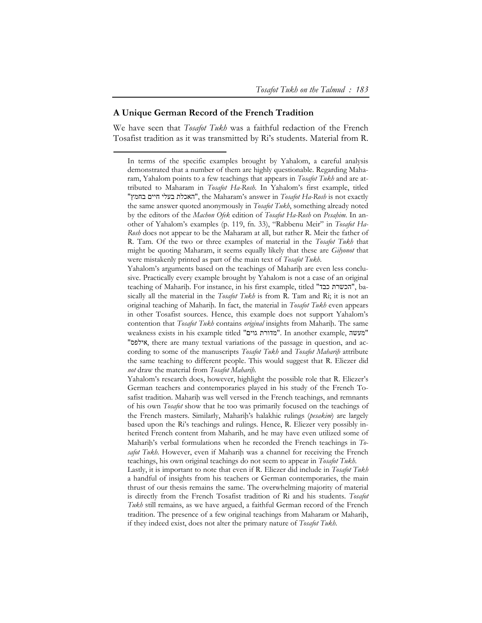## **A Unique German Record of the French Tradition**

-

We have seen that *Tosafot Tukh* was a faithful redaction of the French Tosafist tradition as it was transmitted by Ri's students. Material from R.

Yahalom's arguments based on the teachings of Maharih are even less conclusive. Practically every example brought by Yahalom is not a case of an original teaching of Maharih. For instance, in his first example, titled "הכשרת כבד", basically all the material in the *Tosafot Tukh* is from R. Tam and Ri; it is not an original teaching of Maharih. In fact, the material in *Tosafot Tukh* even appears in other Tosafist sources. Hence, this example does not support Yahalom's contention that *Tosafot Tukh* contains *original* insights from Maharih. The same weakness exists in his example titled "גוים מדורת". In another example, מעשה" "אילפס, there are many textual variations of the passage in question, and according to some of the manuscripts *Tosafot Tukh* and *Tosafot Mahariḥ* attribute the same teaching to different people. This would suggest that R. Eliezer did *not* draw the material from *Tosafot Mahariḥ*.

Yahalom's research does, however, highlight the possible role that R. Eliezer's German teachers and contemporaries played in his study of the French Tosafist tradition. Maharih was well versed in the French teachings, and remnants of his own *Tosafot* show that he too was primarily focused on the teachings of the French masters. Similarly, Mahariḥ's halakhic rulings (*pesakim*) are largely based upon the Ri's teachings and rulings. Hence, R. Eliezer very possibly inherited French content from Maharih, and he may have even utilized some of Maharih's verbal formulations when he recorded the French teachings in *To*safot Tukh. However, even if Maharih was a channel for receiving the French teachings, his own original teachings do not seem to appear in *Tosafot Tukh*.

Lastly, it is important to note that even if R. Eliezer did include in *Tosafot Tukh* a handful of insights from his teachers or German contemporaries, the main thrust of our thesis remains the same. The overwhelming majority of material is directly from the French Tosafist tradition of Ri and his students. *Tosafot Tukh* still remains, as we have argued, a faithful German record of the French tradition. The presence of a few original teachings from Maharam or Maharih, if they indeed exist, does not alter the primary nature of *Tosafot Tukh*.

In terms of the specific examples brought by Yahalom, a careful analysis demonstrated that a number of them are highly questionable. Regarding Maharam, Yahalom points to a few teachings that appears in *Tosafot Tukh* and are attributed to Maharam in *Tosafot Ha-Rosh*. In Yahalom's first example, titled "בחמץ חיים בעלי האכלת", the Maharam's answer in *Tosafot Ha-Rosh* is not exactly the same answer quoted anonymously in *Tosafot Tukh*, something already noted by the editors of the *Machon Ofek* edition of *Tosafot Ha-Rosh* on *Pesaḥim*. In another of Yahalom's examples (p. 119, fn. 33), "Rabbenu Meir" in *Tosafot Ha-Rosh* does not appear to be the Maharam at all, but rather R. Meir the father of R. Tam. Of the two or three examples of material in the *Tosafot Tukh* that might be quoting Maharam, it seems equally likely that these are *Gilyonot* that were mistakenly printed as part of the main text of *Tosafot Tukh*.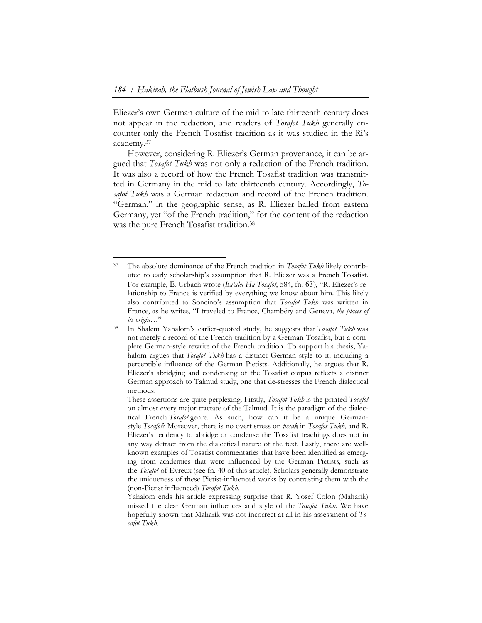Eliezer's own German culture of the mid to late thirteenth century does not appear in the redaction, and readers of *Tosafot Tukh* generally encounter only the French Tosafist tradition as it was studied in the Ri's academy.37

However, considering R. Eliezer's German provenance, it can be argued that *Tosafot Tukh* was not only a redaction of the French tradition. It was also a record of how the French Tosafist tradition was transmitted in Germany in the mid to late thirteenth century. Accordingly, *Tosafot Tukh* was a German redaction and record of the French tradition. "German," in the geographic sense, as R. Eliezer hailed from eastern Germany, yet "of the French tradition," for the content of the redaction was the pure French Tosafist tradition.38

<sup>37</sup> The absolute dominance of the French tradition in *Tosafot Tukh* likely contributed to early scholarship's assumption that R. Eliezer was a French Tosafist. For example, E. Urbach wrote (*Ba'alei Ha-Tosafot*, 584, fn. 63), "R. Eliezer's relationship to France is verified by everything we know about him. This likely also contributed to Soncino's assumption that *Tosafot Tukh* was written in France, as he writes, "I traveled to France, Chambéry and Geneva, *the places of* 

*its origin…*" 38 In Shalem Yahalom's earlier-quoted study, he suggests that *Tosafot Tukh* was not merely a record of the French tradition by a German Tosafist, but a complete German-style rewrite of the French tradition. To support his thesis, Yahalom argues that *Tosafot Tukh* has a distinct German style to it, including a perceptible influence of the German Pietists. Additionally, he argues that R. Eliezer's abridging and condensing of the Tosafist corpus reflects a distinct German approach to Talmud study, one that de-stresses the French dialectical methods.

These assertions are quite perplexing. Firstly, *Tosafot Tukh* is the printed *Tosafot* on almost every major tractate of the Talmud. It is the paradigm of the dialectical French *Tosafot* genre. As such, how can it be a unique Germanstyle *Tosafot*? Moreover, there is no overt stress on *pesak* in *Tosafot Tukh*, and R. Eliezer's tendency to abridge or condense the Tosafist teachings does not in any way detract from the dialectical nature of the text. Lastly, there are wellknown examples of Tosafist commentaries that have been identified as emerging from academies that were influenced by the German Pietists, such as the *Tosafot* of Evreux (see fn. 40 of this article). Scholars generally demonstrate the uniqueness of these Pietist-influenced works by contrasting them with the (non-Pietist influenced) *Tosafot Tukh*.

Yahalom ends his article expressing surprise that R. Yosef Colon (Maharik) missed the clear German influences and style of the *Tosafot Tukh*. We have hopefully shown that Maharik was not incorrect at all in his assessment of *Tosafot Tukh*.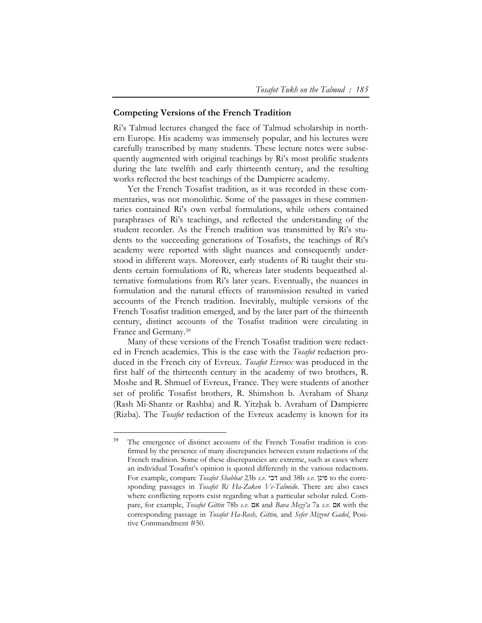## **Competing Versions of the French Tradition**

Ri's Talmud lectures changed the face of Talmud scholarship in northern Europe. His academy was immensely popular, and his lectures were carefully transcribed by many students. These lecture notes were subsequently augmented with original teachings by Ri's most prolific students during the late twelfth and early thirteenth century, and the resulting works reflected the best teachings of the Dampierre academy.

Yet the French Tosafist tradition, as it was recorded in these commentaries, was not monolithic. Some of the passages in these commentaries contained Ri's own verbal formulations, while others contained paraphrases of Ri's teachings, and reflected the understanding of the student recorder. As the French tradition was transmitted by Ri's students to the succeeding generations of Tosafists, the teachings of Ri's academy were reported with slight nuances and consequently understood in different ways. Moreover, early students of Ri taught their students certain formulations of Ri, whereas later students bequeathed alternative formulations from Ri's later years. Eventually, the nuances in formulation and the natural effects of transmission resulted in varied accounts of the French tradition. Inevitably, multiple versions of the French Tosafist tradition emerged, and by the later part of the thirteenth century, distinct accounts of the Tosafist tradition were circulating in France and Germany.39

Many of these versions of the French Tosafist tradition were redacted in French academies. This is the case with the *Tosafot* redaction produced in the French city of Evreux. *Tosafot Evreux* was produced in the first half of the thirteenth century in the academy of two brothers, R. Moshe and R. Shmuel of Evreux, France. They were students of another set of prolific Tosafist brothers, R. Shimshon b. Avraham of Shanz (Rash Mi-Shantz or Rashba) and R. Yitzḥak b. Avraham of Dampierre (Rizba). The *Tosafot* redaction of the Evreux academy is known for its

<sup>&</sup>lt;sup>39</sup> The emergence of distinct accounts of the French Tosafist tradition is confirmed by the presence of many discrepancies between extant redactions of the French tradition. Some of these discrepancies are extreme, such as cases where an individual Tosafist's opinion is quoted differently in the various redactions. For example, compare *Tosafot Shabbat* 23b *s.v.* דבי and 38b *s.v.* פינן to the corresponding passages in *Tosafot Ri Ha-Zaken Ve-Talmido*. There are also cases where conflicting reports exist regarding what a particular scholar ruled. Compare, for example, *Tosafot Gittin* 78b *s.v.* אם and *Bava Meẓi'a* 7a *s.v.* אם with the corresponding passage in *Tosafot Ha-Rosh, Gittin,* and *Sefer Miẓvot Gadol*, Positive Commandment #50.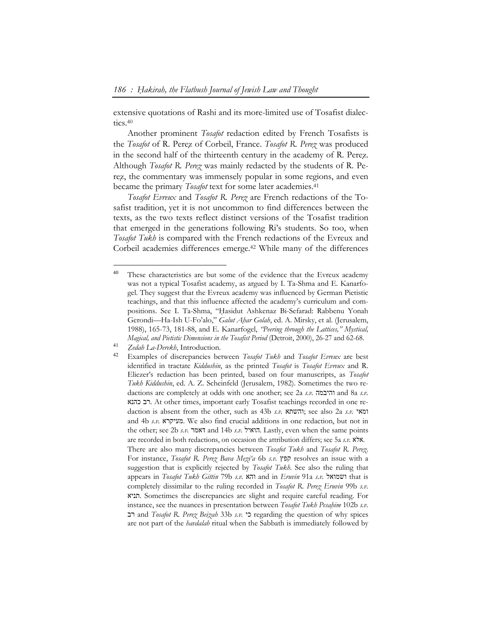extensive quotations of Rashi and its more-limited use of Tosafist dialectics. $40$ 

Another prominent *Tosafot* redaction edited by French Tosafists is the *Tosafot* of R. Pereẓ of Corbeil, France. *Tosafot R. Pereẓ* was produced in the second half of the thirteenth century in the academy of R. Perez. Although *Tosafot R. Pereẓ* was mainly redacted by the students of R. Perez, the commentary was immensely popular in some regions, and even became the primary *Tosafot* text for some later academies.41

*Tosafot Evreux* and *Tosafot R. Pereẓ* are French redactions of the Tosafist tradition, yet it is not uncommon to find differences between the texts, as the two texts reflect distinct versions of the Tosafist tradition that emerged in the generations following Ri's students. So too, when *Tosafot Tukh* is compared with the French redactions of the Evreux and Corbeil academies differences emerge.42 While many of the differences

<sup>&</sup>lt;sup>40</sup> These characteristics are but some of the evidence that the Evreux academy was not a typical Tosafist academy, as argued by I. Ta-Shma and E. Kanarfogel. They suggest that the Evreux academy was influenced by German Pietistic teachings, and that this influence affected the academy's curriculum and compositions. See I. Ta-Shma, "Hasidut Ashkenaz Bi-Sefarad: Rabbenu Yonah Gerondi—Ha-Ish U-Fo'alo," *Galut Aḥar Golah*, ed. A. Mirsky, et al. (Jerusalem, 1988), 165-73, 181-88, and E. Kanarfogel, *"Peering through the Lattices," Mystical, Magical, and Pietistic Dimensions in the Tosafist Period* (Detroit, 2000), 26-27 and 62-68.

<sup>&</sup>lt;sup>41</sup> *Zedah La-Derekh*, Introduction.

<sup>42</sup> Examples of discrepancies between *Tosafot Tukh* and *Tosafot Evreux* are best identified in tractate *Kiddushin*, as the printed *Tosafot* is *Tosafot Evreux* and R. Eliezer's redaction has been printed, based on four manuscripts, as *Tosafot Tukh Kiddushin*, ed. A. Z. Scheinfeld (Jerusalem, 1982). Sometimes the two redactions are completely at odds with one another; see 2a *s.v.* והיבמה and 8a *s.v.* כהנא רב. At other times, important early Tosafist teachings recorded in one redaction is absent from the other, such as 43b *s.v.* והשתא ;see also 2a *s.v.* ומאי and 4b *s.v.* מעיקרא. We also find crucial additions in one redaction, but not in the other; see 2b *s.v.* דאמר and 14b *s.v.* הואיל. Lastly, even when the same points are recorded in both redactions, on occasion the attribution differs; see 5a *s.v.* אלא. There are also many discrepancies between *Tosafot Tukh* and *Tosafot R. Pereẓ*. For instance, *Tosafot R. Pereẓ Bava Meẓi'a* 6b *s.v.* קפץ resolves an issue with a suggestion that is explicitly rejected by *Tosafot Tukh*. See also the ruling that appears in *Tosafot Tukh Gittin* 79b *s.v.* והא and in *Eruvin* 91a *s.v.* ושמואל that is completely dissimilar to the ruling recorded in *Tosafot R. Pereẓ Eruvin* 99b *s.v.* תניא. Sometimes the discrepancies are slight and require careful reading. For instance, see the nuances in presentation between *Tosafot Tukh Pesaḥim* 102b *s.v.* רב and *Tosafot R. Pereẓ Beiẓah* 33b *s.v.* כי regarding the question of why spices are not part of the *havdalah* ritual when the Sabbath is immediately followed by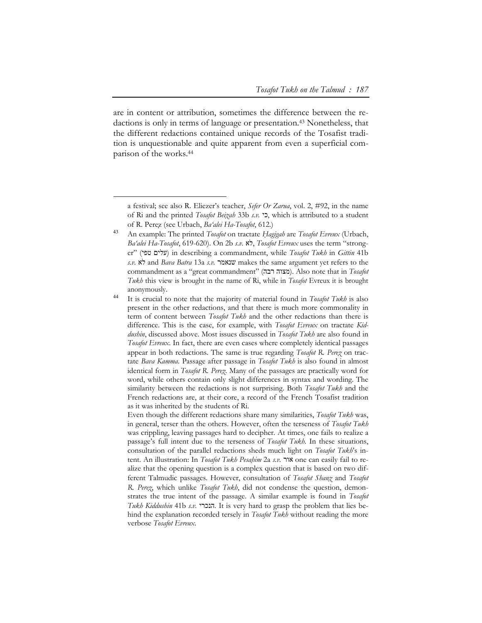are in content or attribution, sometimes the difference between the redactions is only in terms of language or presentation.43 Nonetheless, that the different redactions contained unique records of the Tosafist tradition is unquestionable and quite apparent from even a superficial comparison of the works.44

a festival; see also R. Eliezer's teacher, *Sefer Or Zarua*, vol. 2, #92, in the name of Ri and the printed *Tosafot Beiẓah* 33b *s.v.* כי, which is attributed to a student of R. Pereẓ (see Urbach, *Ba'alei Ha-Tosafot*, 612.)

<sup>43</sup> An example: The printed *Tosafot* on tractate *Ḥagigah* are *Tosafot Evreux* (Urbach, *Ba'alei Ha-Tosafot*, 619-620). On 2b *s.v.* לא, *Tosafot Evreux* uses the term "stronger" (עלים טפי) in describing a commandment, while *Tosafot Tukh* in *Gittin* 41b *s.v.* לא and *Bava Batra* 13a *s.v.* שנאמר makes the same argument yet refers to the commandment as a "great commandment" (רבה מצוה(. Also note that in *Tosafot Tukh* this view is brought in the name of Ri, while in *Tosafot* Evreux it is brought anonymously.

<sup>44</sup> It is crucial to note that the majority of material found in *Tosafot Tukh* is also present in the other redactions, and that there is much more commonality in term of content between *Tosafot Tukh* and the other redactions than there is difference. This is the case, for example, with *Tosafot Evreux* on tractate *Kiddushin*, discussed above. Most issues discussed in *Tosafot Tukh* are also found in *Tosafot Evreux*. In fact, there are even cases where completely identical passages appear in both redactions. The same is true regarding *Tosafot R. Pereẓ* on tractate *Bava Kamma*. Passage after passage in *Tosafot Tukh* is also found in almost identical form in *Tosafot R. Pereẓ*. Many of the passages are practically word for word, while others contain only slight differences in syntax and wording. The similarity between the redactions is not surprising. Both *Tosafot Tukh* and the French redactions are, at their core, a record of the French Tosafist tradition as it was inherited by the students of Ri.

Even though the different redactions share many similarities, *Tosafot Tukh* was, in general, terser than the others. However, often the terseness of *Tosafot Tukh* was crippling, leaving passages hard to decipher. At times, one fails to realize a passage's full intent due to the terseness of *Tosafot Tukh*. In these situations, consultation of the parallel redactions sheds much light on *Tosafot Tukh*'s intent. An illustration: In *Tosafot Tukh Pesaḥim* 2a *s.v.* אור one can easily fail to realize that the opening question is a complex question that is based on two different Talmudic passages. However, consultation of *Tosafot Shanẓ* and *Tosafot R. Pereẓ*, which unlike *Tosafot Tukh*, did not condense the question, demonstrates the true intent of the passage. A similar example is found in *Tosafot Tukh Kiddushin* 41b *s.v.* הנכרי. It is very hard to grasp the problem that lies behind the explanation recorded tersely in *Tosafot Tukh* without reading the more verbose *Tosafot Evreux*.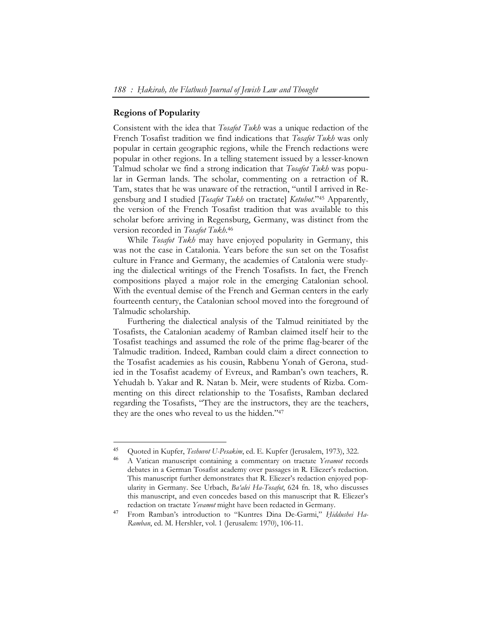## **Regions of Popularity**

-

Consistent with the idea that *Tosafot Tukh* was a unique redaction of the French Tosafist tradition we find indications that *Tosafot Tukh* was only popular in certain geographic regions, while the French redactions were popular in other regions. In a telling statement issued by a lesser-known Talmud scholar we find a strong indication that *Tosafot Tukh* was popular in German lands. The scholar, commenting on a retraction of R. Tam, states that he was unaware of the retraction, "until I arrived in Regensburg and I studied [*Tosafot Tukh* on tractate] *Ketubot*."45 Apparently, the version of the French Tosafist tradition that was available to this scholar before arriving in Regensburg, Germany, was distinct from the version recorded in *Tosafot Tukh*. 46

While *Tosafot Tukh* may have enjoyed popularity in Germany, this was not the case in Catalonia. Years before the sun set on the Tosafist culture in France and Germany, the academies of Catalonia were studying the dialectical writings of the French Tosafists. In fact, the French compositions played a major role in the emerging Catalonian school. With the eventual demise of the French and German centers in the early fourteenth century, the Catalonian school moved into the foreground of Talmudic scholarship.

Furthering the dialectical analysis of the Talmud reinitiated by the Tosafists, the Catalonian academy of Ramban claimed itself heir to the Tosafist teachings and assumed the role of the prime flag-bearer of the Talmudic tradition. Indeed, Ramban could claim a direct connection to the Tosafist academies as his cousin, Rabbenu Yonah of Gerona, studied in the Tosafist academy of Evreux, and Ramban's own teachers, R. Yehudah b. Yakar and R. Natan b. Meir, were students of Rizba. Commenting on this direct relationship to the Tosafists, Ramban declared regarding the Tosafists, "They are the instructors, they are the teachers, they are the ones who reveal to us the hidden."47

<sup>45</sup> Quoted in Kupfer, *Teshuvot U-Pesakim*, ed. E. Kupfer (Jerusalem, 1973), 322.

<sup>46</sup> A Vatican manuscript containing a commentary on tractate *Yevamot* records debates in a German Tosafist academy over passages in R. Eliezer's redaction. This manuscript further demonstrates that R. Eliezer's redaction enjoyed popularity in Germany. See Urbach, *Ba'alei Ha-Tosafot*, 624 fn. 18, who discusses this manuscript, and even concedes based on this manuscript that R. Eliezer's redaction on tractate *Yevamot* might have been redacted in Germany.

<sup>47</sup> From Ramban's introduction to "Kuntres Dina De-Garmi," *Ḥiddushei Ha-Ramban*, ed. M. Hershler, vol. 1 (Jerusalem: 1970), 106-11.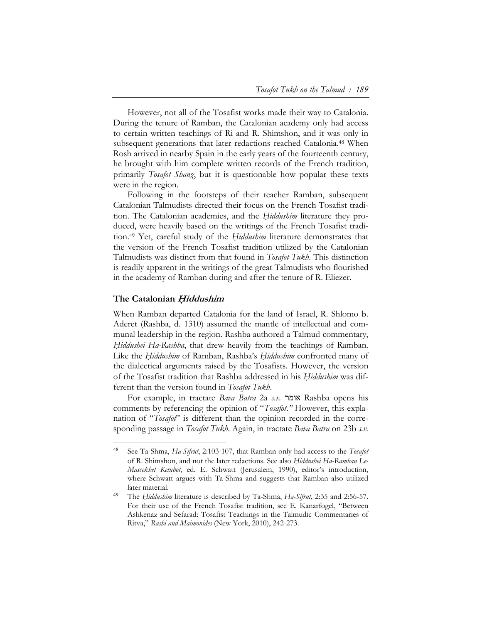However, not all of the Tosafist works made their way to Catalonia. During the tenure of Ramban, the Catalonian academy only had access to certain written teachings of Ri and R. Shimshon, and it was only in subsequent generations that later redactions reached Catalonia.<sup>48</sup> When Rosh arrived in nearby Spain in the early years of the fourteenth century, he brought with him complete written records of the French tradition, primarily *Tosafot Shanẓ*, but it is questionable how popular these texts were in the region.

Following in the footsteps of their teacher Ramban, subsequent Catalonian Talmudists directed their focus on the French Tosafist tradition. The Catalonian academies, and the *Ḥiddushim* literature they produced, were heavily based on the writings of the French Tosafist tradition.49 Yet, careful study of the *Ḥiddushim* literature demonstrates that the version of the French Tosafist tradition utilized by the Catalonian Talmudists was distinct from that found in *Tosafot Tukh*. This distinction is readily apparent in the writings of the great Talmudists who flourished in the academy of Ramban during and after the tenure of R. Eliezer.

#### **The Catalonian H***̣***iddushim**

-

When Ramban departed Catalonia for the land of Israel, R. Shlomo b. Aderet (Rashba, d. 1310) assumed the mantle of intellectual and communal leadership in the region. Rashba authored a Talmud commentary, *Ḥiddushei Ha-Rashba*, that drew heavily from the teachings of Ramban. Like the *Ḥiddushim* of Ramban, Rashba's *Ḥiddushim* confronted many of the dialectical arguments raised by the Tosafists. However, the version of the Tosafist tradition that Rashba addressed in his *Ḥiddushim* was different than the version found in *Tosafot Tukh*.

For example, in tractate *Bava Batra* 2a *s.v.* אומר Rashba opens his comments by referencing the opinion of "*Tosafot*.*"* However, this explanation of "*Tosafot*" is different than the opinion recorded in the corresponding passage in *Tosafot Tukh*. Again, in tractate *Bava Batra* on 23b *s.v.*

<sup>48</sup> See Ta-Shma, *Ha-Sifrut*, 2:103-107, that Ramban only had access to the *Tosafot* of R. Shimshon, and not the later redactions. See also *Ḥiddushei Ha-Ramban Le-Massekhet Ketubot*, ed. E. Schwatt (Jerusalem, 1990), editor's introduction, where Schwatt argues with Ta-Shma and suggests that Ramban also utilized later material.

<sup>49</sup> The *Ḥiddushim* literature is described by Ta-Shma, *Ha-Sifrut*, 2:35 and 2:56-57. For their use of the French Tosafist tradition, see E. Kanarfogel, "Between Ashkenaz and Sefarad: Tosafist Teachings in the Talmudic Commentaries of Ritva," *Rashi and Maimonides* (New York, 2010), 242-273.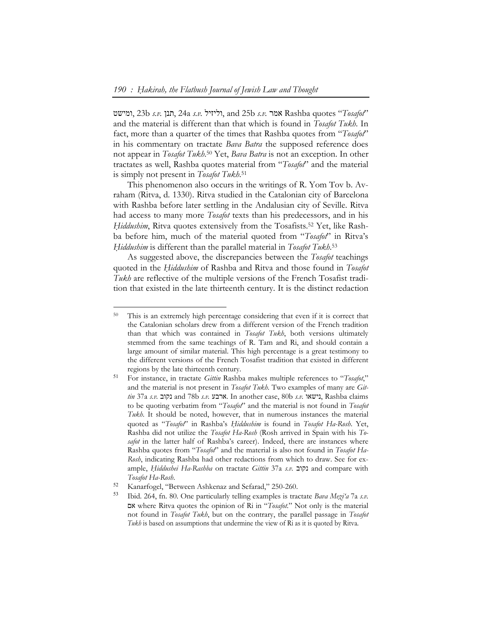ומישט, 23b *s.v.* תנן, 24a *s.v.* וליזיל, and 25b *s.v.* אמר Rashba quotes "*Tosafot*" and the material is different than that which is found in *Tosafot Tukh*. In fact, more than a quarter of the times that Rashba quotes from "*Tosafot*" in his commentary on tractate *Bava Batra* the supposed reference does not appear in *Tosafot Tukh*. 50 Yet, *Bava Batra* is not an exception. In other tractates as well, Rashba quotes material from "*Tosafot*" and the material is simply not present in *Tosafot Tukh*. 51

This phenomenon also occurs in the writings of R. Yom Tov b. Avraham (Ritva, d. 1330). Ritva studied in the Catalonian city of Barcelona with Rashba before later settling in the Andalusian city of Seville. Ritva had access to many more *Tosafot* texts than his predecessors, and in his *Ḥiddushim*, Ritva quotes extensively from the Tosafists.52 Yet, like Rashba before him, much of the material quoted from "*Tosafot*" in Ritva's *Ḥiddushim* is different than the parallel material in *Tosafot Tukh*. 53

As suggested above, the discrepancies between the *Tosafot* teachings quoted in the *Ḥiddushim* of Rashba and Ritva and those found in *Tosafot Tukh* are reflective of the multiple versions of the French Tosafist tradition that existed in the late thirteenth century. It is the distinct redaction

<sup>50</sup> This is an extremely high percentage considering that even if it is correct that the Catalonian scholars drew from a different version of the French tradition than that which was contained in *Tosafot Tukh*, both versions ultimately stemmed from the same teachings of R. Tam and Ri, and should contain a large amount of similar material. This high percentage is a great testimony to the different versions of the French Tosafist tradition that existed in different regions by the late thirteenth century.

<sup>51</sup> For instance, in tractate *Gittin* Rashba makes multiple references to "*Tosafot*," and the material is not present in *Tosafot Tukh*. Two examples of many are *Gittin* 37a *s.v.* נקוב and 78b *s.v.* ארבע. In another case, 80b *s.v.* נישאו, Rashba claims to be quoting verbatim from "*Tosafot*" and the material is not found in *Tosafot Tukh*. It should be noted, however, that in numerous instances the material quoted as "*Tosafot*" in Rashba's *Ḥiddushim* is found in *Tosafot Ha-Rosh*. Yet, Rashba did not utilize the *Tosafot Ha-Rosh* (Rosh arrived in Spain with his *Tosafot* in the latter half of Rashba's career). Indeed, there are instances where Rashba quotes from "*Tosafot*" and the material is also not found in *Tosafot Ha-Rosh*, indicating Rashba had other redactions from which to draw. See for example, *Ḥiddushei Ha-Rashba* on tractate *Gittin* 37a *s.v.* נקוב and compare with *Tosafot Ha-Rosh*.

<sup>52</sup> Kanarfogel, "Between Ashkenaz and Sefarad," 250-260.

<sup>53</sup> Ibid. 264, fn. 80. One particularly telling examples is tractate *Bava Meẓi'a* 7a *s.v.* אם where Ritva quotes the opinion of Ri in "*Tosafot*." Not only is the material not found in *Tosafot Tukh*, but on the contrary, the parallel passage in *Tosafot Tukh* is based on assumptions that undermine the view of Ri as it is quoted by Ritva.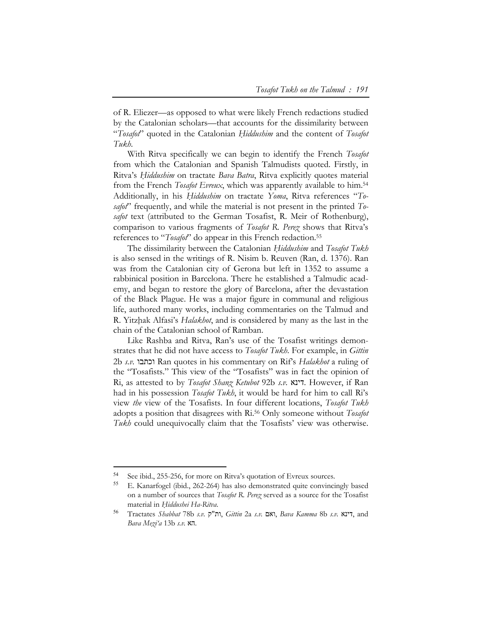of R. Eliezer—as opposed to what were likely French redactions studied by the Catalonian scholars—that accounts for the dissimilarity between "*Tosafot*" quoted in the Catalonian *Ḥiddushim* and the content of *Tosafot Tukh*.

With Ritva specifically we can begin to identify the French *Tosafot* from which the Catalonian and Spanish Talmudists quoted. Firstly, in Ritva's *Ḥiddushim* on tractate *Bava Batra*, Ritva explicitly quotes material from the French *Tosafot Evreux*, which was apparently available to him.54 Additionally, in his *Ḥiddushim* on tractate *Yoma*, Ritva references "*Tosafot*" frequently, and while the material is not present in the printed *Tosafot* text (attributed to the German Tosafist, R. Meir of Rothenburg), comparison to various fragments of *Tosafot R. Pereẓ* shows that Ritva's references to "*Tosafot*" do appear in this French redaction.55

The dissimilarity between the Catalonian *Ḥiddushim* and *Tosafot Tukh* is also sensed in the writings of R. Nisim b. Reuven (Ran, d. 1376). Ran was from the Catalonian city of Gerona but left in 1352 to assume a rabbinical position in Barcelona. There he established a Talmudic academy, and began to restore the glory of Barcelona, after the devastation of the Black Plague. He was a major figure in communal and religious life, authored many works, including commentaries on the Talmud and R. Yitzḥak Alfasi's *Halakhot*, and is considered by many as the last in the chain of the Catalonian school of Ramban.

Like Rashba and Ritva, Ran's use of the Tosafist writings demonstrates that he did not have access to *Tosafot Tukh*. For example, in *Gittin* 2b *s.v.* וכתבו Ran quotes in his commentary on Rif's *Halakhot* a ruling of the "Tosafists." This view of the "Tosafists" was in fact the opinion of Ri, as attested to by *Tosafot Shanẓ Ketubot* 92b *s.v.* דינא. However, if Ran had in his possession *Tosafot Tukh*, it would be hard for him to call Ri's view *the* view of the Tosafists. In four different locations, *Tosafot Tukh* adopts a position that disagrees with Ri.56 Only someone without *Tosafot Tukh* could unequivocally claim that the Tosafists' view was otherwise.

<sup>54</sup> See ibid., 255-256, for more on Ritva's quotation of Evreux sources.

<sup>55</sup> E. Kanarfogel (ibid., 262-264) has also demonstrated quite convincingly based on a number of sources that *Tosafot R. Pereẓ* served as a source for the Tosafist material in *Ḥiddushei Ha-Ritva*.

<sup>56</sup> Tractates *Shabbat* 78b *s.v.* ק"ות, *Gittin* 2a *s.v.* ואם, *Bava Kamma* 8b *s.v.* דינא, and *Bava Meẓi'a* 13b *s.v.* הא.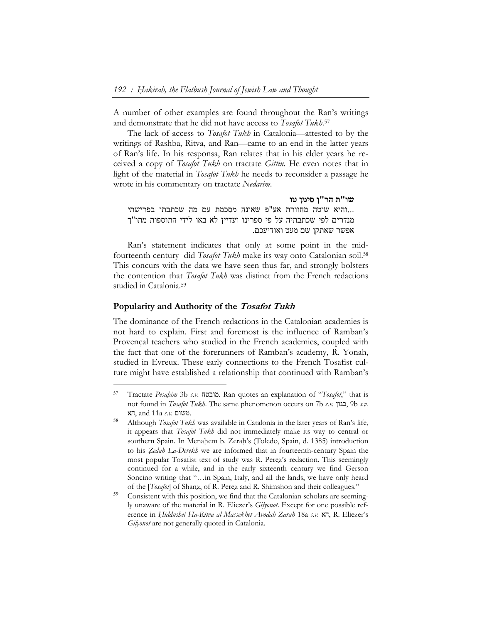A number of other examples are found throughout the Ran's writings and demonstrate that he did not have access to *Tosafot Tukh*. 57

The lack of access to *Tosafot Tukh* in Catalonia—attested to by the writings of Rashba, Ritva, and Ran—came to an end in the latter years of Ran's life. In his responsa, Ran relates that in his elder years he received a copy of *Tosafot Tukh* on tractate *Gittin*. He even notes that in light of the material in *Tosafot Tukh* he needs to reconsider a passage he wrote in his commentary on tractate *Nedarim*.

```
שו"ת הר"ן סימן טו 
...והיא שיטה מחוורת אע"פ שאינה מסכמת עם מה שכתבתי בפרישתי 
מנדרים לפי שכתבתיה על פי ספרינו ועדיין לא באו לידי התוספות מתו"ך 
                                  אפשר שאתקן שם מעט ואודיעכם.
```
Ran's statement indicates that only at some point in the midfourteenth century did *Tosafot Tukh* make its way onto Catalonian soil.58 This concurs with the data we have seen thus far, and strongly bolsters the contention that *Tosafot Tukh* was distinct from the French redactions studied in Catalonia.59

## **Popularity and Authority of the Tosafot Tukh**

 $\overline{a}$ 

The dominance of the French redactions in the Catalonian academies is not hard to explain. First and foremost is the influence of Ramban's Provençal teachers who studied in the French academies, coupled with the fact that one of the forerunners of Ramban's academy, R. Yonah, studied in Evreux. These early connections to the French Tosafist culture might have established a relationship that continued with Ramban's

<sup>57</sup> Tractate *Pesaḥim* 3b *s.v.* מובטח. Ran quotes an explanation of "*Tosafot*," that is not found in *Tosafot Tukh*. The same phenomenon occurs on 7b *s.v.* כגון, 9b *s.v.* הא, and 11a *s.v.* משום.

<sup>58</sup> Although *Tosafot Tukh* was available in Catalonia in the later years of Ran's life, it appears that *Tosafot Tukh* did not immediately make its way to central or southern Spain. In Menahem b. Zerah's (Toledo, Spain, d. 1385) introduction to his *Ẓedah La-Derekh* we are informed that in fourteenth-century Spain the most popular Tosafist text of study was R. Pereẓ's redaction. This seemingly continued for a while, and in the early sixteenth century we find Gerson Soncino writing that "...in Spain, Italy, and all the lands, we have only heard of the [*Tosafot*] of Shanz, of R. Perez and R. Shimshon and their colleagues."

<sup>59</sup> Consistent with this position, we find that the Catalonian scholars are seemingly unaware of the material in R. Eliezer's *Gilyonot*. Except for one possible reference in *Ḥiddushei Ha-Ritva al Massekhet Avodah Zarah* 18a *s.v.* הא, R. Eliezer's *Gilyonot* are not generally quoted in Catalonia.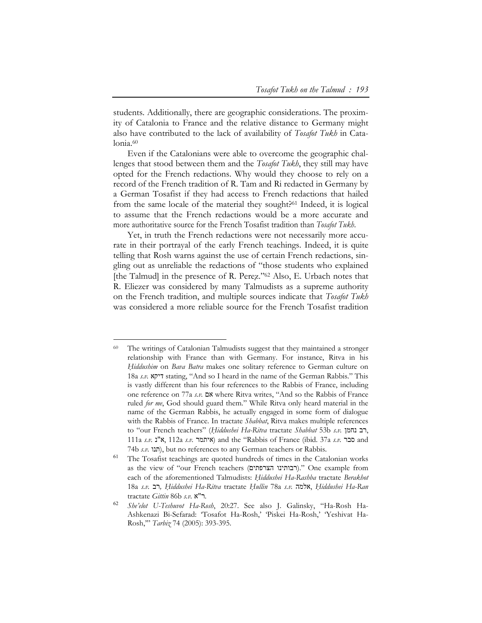students. Additionally, there are geographic considerations. The proximity of Catalonia to France and the relative distance to Germany might also have contributed to the lack of availability of *Tosafot Tukh* in Catalonia.<sup>60</sup>

Even if the Catalonians were able to overcome the geographic challenges that stood between them and the *Tosafot Tukh*, they still may have opted for the French redactions. Why would they choose to rely on a record of the French tradition of R. Tam and Ri redacted in Germany by a German Tosafist if they had access to French redactions that hailed from the same locale of the material they sought?61 Indeed, it is logical to assume that the French redactions would be a more accurate and more authoritative source for the French Tosafist tradition than *Tosafot Tukh*.

Yet, in truth the French redactions were not necessarily more accurate in their portrayal of the early French teachings. Indeed, it is quite telling that Rosh warns against the use of certain French redactions, singling out as unreliable the redactions of "those students who explained [the Talmud] in the presence of R. Perez."<sup>62</sup> Also, E. Urbach notes that R. Eliezer was considered by many Talmudists as a supreme authority on the French tradition, and multiple sources indicate that *Tosafot Tukh* was considered a more reliable source for the French Tosafist tradition

<sup>60</sup> The writings of Catalonian Talmudists suggest that they maintained a stronger relationship with France than with Germany. For instance, Ritva in his *Hiddushim* on *Bava Batra* makes one solitary reference to German culture on 18a *s.v.* דיקא stating, "And so I heard in the name of the German Rabbis." This is vastly different than his four references to the Rabbis of France, including one reference on 77a *s.v.* אם where Ritva writes, "And so the Rabbis of France ruled *for me*, God should guard them." While Ritva only heard material in the name of the German Rabbis, he actually engaged in some form of dialogue with the Rabbis of France. In tractate *Shabbat*, Ritva makes multiple references to "our French teachers" (*Ḥiddushei Ha-Ritva* tractate *Shabbat* 53b *s.v.* נחמן רב, 111a *s.v.* נ"א, 112a *s.v.* איתמר (and the "Rabbis of France (ibid. 37a *s.v.* סבר and 74b *s.v.* תנו, but no references to any German teachers or Rabbis.

<sup>&</sup>lt;sup>61</sup> The Tosafist teachings are quoted hundreds of times in the Catalonian works as the view of "our French teachers (רבותינו הצרפתים)." One example from each of the aforementioned Talmudists: *Ḥiddushei Ha-Rashba* tractate *Berakhot* 18a *s.v.* רב*, Ḥiddushei Ha-Ritva* tractate *Ḥullin* 78a *s.v.* אלמה, *Ḥiddushei Ha-Ran* tractate *Gittin* 86b *s.v.* א"ר.

<sup>62</sup> *She'elot U-Teshuvot Ha-Rosh*, 20:27. See also J. Galinsky, "Ha-Rosh Ha-Ashkenazi Bi-Sefarad: 'Tosafot Ha-Rosh,' 'Piskei Ha-Rosh,' 'Yeshivat Ha-Rosh,'" *Tarbiz* 74 (2005): 393-395.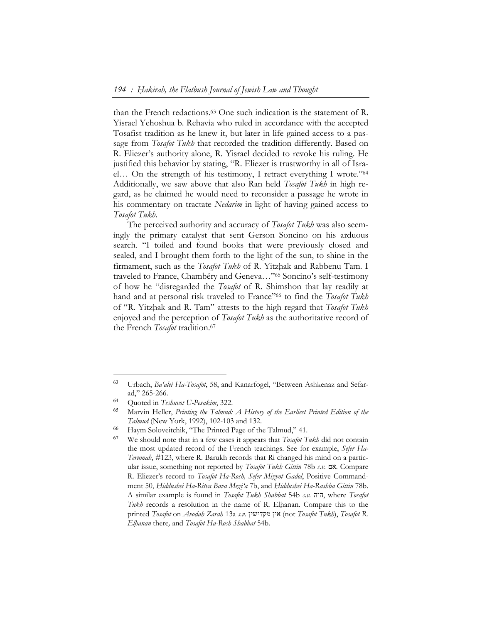than the French redactions.63 One such indication is the statement of R. Yisrael Yehoshua b. Rehavia who ruled in accordance with the accepted Tosafist tradition as he knew it, but later in life gained access to a passage from *Tosafot Tukh* that recorded the tradition differently. Based on R. Eliezer's authority alone, R. Yisrael decided to revoke his ruling. He justified this behavior by stating, "R. Eliezer is trustworthy in all of Israel… On the strength of his testimony, I retract everything I wrote."64 Additionally, we saw above that also Ran held *Tosafot Tukh* in high regard, as he claimed he would need to reconsider a passage he wrote in his commentary on tractate *Nedarim* in light of having gained access to *Tosafot Tukh*.

The perceived authority and accuracy of *Tosafot Tukh* was also seemingly the primary catalyst that sent Gerson Soncino on his arduous search. "I toiled and found books that were previously closed and sealed, and I brought them forth to the light of the sun, to shine in the firmament, such as the *Tosafot Tukh* of R. Yitzhak and Rabbenu Tam. I traveled to France, Chambéry and Geneva…"65 Soncino's self-testimony of how he "disregarded the *Tosafot* of R. Shimshon that lay readily at hand and at personal risk traveled to France"66 to find the *Tosafot Tukh* of "R. Yitzḥak and R. Tam" attests to the high regard that *Tosafot Tukh* enjoyed and the perception of *Tosafot Tukh* as the authoritative record of the French *Tosafot* tradition.<sup>67</sup>

<sup>63</sup> Urbach, *Ba'alei Ha-Tosafot*, 58, and Kanarfogel, "Between Ashkenaz and Sefarad," 265-266.

<sup>64</sup> Quoted in *Teshuvot U-Pesakim*, 322.

<sup>65</sup> Marvin Heller, *Printing the Talmud: A History of the Earliest Printed Edition of the Talmud* (New York, 1992), 102-103 and 132.

<sup>66</sup> Haym Soloveitchik, "The Printed Page of the Talmud," 41.

<sup>67</sup> We should note that in a few cases it appears that *Tosafot Tukh* did not contain the most updated record of the French teachings. See for example, *Sefer Ha-Terumah*, #123, where R. Barukh records that Ri changed his mind on a particular issue, something not reported by *Tosafot Tukh Gittin* 78b *s.v.* אם. Compare R. Eliezer's record to *Tosafot Ha-Rosh, Sefer Miẓvot Gadol*, Positive Commandment 50, *Ḥiddushei Ha-Ritva Bava Meẓi'a* 7b, and *Ḥiddushei Ha-Rashba Gittin* 78b. A similar example is found in *Tosafot Tukh Shabbat* 54b *s.v.* הוה, where *Tosafot Tukh* records a resolution in the name of R. Elhanan. Compare this to the printed *Tosafot* on *Avodah Zarah* 13a *s.v.* מקדישין אין) not *Tosafot Tukh*), *Tosafot R. Elḥanan* there*,* and *Tosafot Ha-Rosh Shabbat* 54b.